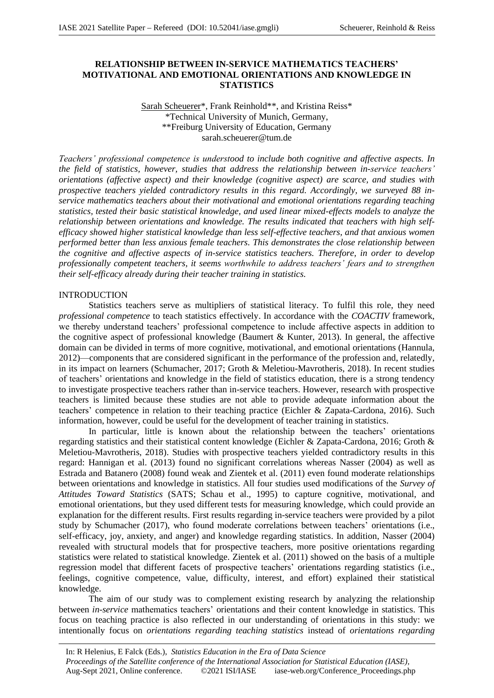# **RELATIONSHIP BETWEEN IN-SERVICE MATHEMATICS TEACHERS' MOTIVATIONAL AND EMOTIONAL ORIENTATIONS AND KNOWLEDGE IN STATISTICS**

Sarah Scheuerer\*, Frank Reinhold\*\*, and Kristina Reiss\* \*Technical University of Munich, Germany, \*\*Freiburg University of Education, Germany sarah.scheuerer@tum.de

*Teachers' professional competence is understood to include both cognitive and affective aspects. In the field of statistics, however, studies that address the relationship between in-service teachers' orientations (affective aspect) and their knowledge (cognitive aspect) are scarce, and studies with prospective teachers yielded contradictory results in this regard. Accordingly, we surveyed 88 inservice mathematics teachers about their motivational and emotional orientations regarding teaching statistics, tested their basic statistical knowledge, and used linear mixed-effects models to analyze the relationship between orientations and knowledge. The results indicated that teachers with high selfefficacy showed higher statistical knowledge than less self-effective teachers, and that anxious women performed better than less anxious female teachers. This demonstrates the close relationship between the cognitive and affective aspects of in-service statistics teachers. Therefore, in order to develop professionally competent teachers, it seems worthwhile to address teachers' fears and to strengthen their self-efficacy already during their teacher training in statistics.*

## INTRODUCTION

Statistics teachers serve as multipliers of statistical literacy. To fulfil this role, they need *professional competence* to teach statistics effectively. In accordance with the *COACTIV* framework, we thereby understand teachers' professional competence to include affective aspects in addition to the cognitive aspect of professional knowledge (Baumert & Kunter, 2013). In general, the affective domain can be divided in terms of more cognitive, motivational, and emotional orientations (Hannula, 2012)—components that are considered significant in the performance of the profession and, relatedly, in its impact on learners (Schumacher, 2017; Groth & Meletiou-Mavrotheris, 2018). In recent studies of teachers' orientations and knowledge in the field of statistics education, there is a strong tendency to investigate prospective teachers rather than in-service teachers. However, research with prospective teachers is limited because these studies are not able to provide adequate information about the teachers' competence in relation to their teaching practice (Eichler & Zapata-Cardona, 2016). Such information, however, could be useful for the development of teacher training in statistics.

In particular, little is known about the relationship between the teachers' orientations regarding statistics and their statistical content knowledge (Eichler & Zapata-Cardona, 2016; Groth & Meletiou-Mavrotheris, 2018). Studies with prospective teachers yielded contradictory results in this regard: Hannigan et al. (2013) found no significant correlations whereas Nasser (2004) as well as Estrada and Batanero (2008) found weak and Zientek et al. (2011) even found moderate relationships between orientations and knowledge in statistics. All four studies used modifications of the *Survey of Attitudes Toward Statistics* (SATS; Schau et al., 1995) to capture cognitive, motivational, and emotional orientations, but they used different tests for measuring knowledge, which could provide an explanation for the different results. First results regarding in-service teachers were provided by a pilot study by Schumacher (2017), who found moderate correlations between teachers' orientations (i.e., self-efficacy, joy, anxiety, and anger) and knowledge regarding statistics. In addition, Nasser (2004) revealed with structural models that for prospective teachers, more positive orientations regarding statistics were related to statistical knowledge. Zientek et al. (2011) showed on the basis of a multiple regression model that different facets of prospective teachers' orientations regarding statistics (i.e., feelings, cognitive competence, value, difficulty, interest, and effort) explained their statistical knowledge.

The aim of our study was to complement existing research by analyzing the relationship between *in-service* mathematics teachers' orientations and their content knowledge in statistics. This focus on teaching practice is also reflected in our understanding of orientations in this study: we intentionally focus on *orientations regarding teaching statistics* instead of *orientations regarding*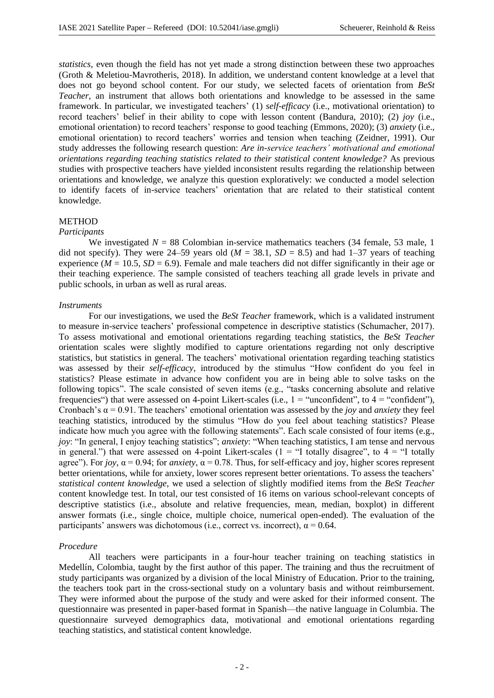*statistics*, even though the field has not yet made a strong distinction between these two approaches (Groth & Meletiou-Mavrotheris, 2018). In addition, we understand content knowledge at a level that does not go beyond school content. For our study, we selected facets of orientation from *BeSt Teacher*, an instrument that allows both orientations and knowledge to be assessed in the same framework. In particular, we investigated teachers' (1) *self-efficacy* (i.e., motivational orientation) to record teachers' belief in their ability to cope with lesson content (Bandura, 2010); (2) *joy* (i.e., emotional orientation) to record teachers' response to good teaching (Emmons, 2020); (3) *anxiety* (i.e., emotional orientation) to record teachers' worries and tension when teaching (Zeidner, 1991). Our study addresses the following research question: *Are in-service teachers' motivational and emotional orientations regarding teaching statistics related to their statistical content knowledge?* As previous studies with prospective teachers have yielded inconsistent results regarding the relationship between orientations and knowledge, we analyze this question exploratively: we conducted a model selection to identify facets of in-service teachers' orientation that are related to their statistical content knowledge.

## METHOD

## *Participants*

We investigated  $N = 88$  Colombian in-service mathematics teachers (34 female, 53 male, 1) did not specify). They were 24–59 years old  $(M = 38.1, SD = 8.5)$  and had 1–37 years of teaching experience ( $M = 10.5$ ,  $SD = 6.9$ ). Female and male teachers did not differ significantly in their age or their teaching experience. The sample consisted of teachers teaching all grade levels in private and public schools, in urban as well as rural areas.

#### *Instruments*

For our investigations, we used the *BeSt Teacher* framework, which is a validated instrument to measure in-service teachers' professional competence in descriptive statistics (Schumacher, 2017). To assess motivational and emotional orientations regarding teaching statistics, the *BeSt Teacher* orientation scales were slightly modified to capture orientations regarding not only descriptive statistics, but statistics in general. The teachers' motivational orientation regarding teaching statistics was assessed by their *self-efficacy*, introduced by the stimulus "How confident do you feel in statistics? Please estimate in advance how confident you are in being able to solve tasks on the following topics". The scale consisted of seven items (e.g., "tasks concerning absolute and relative frequencies") that were assessed on 4-point Likert-scales (i.e.,  $1 =$  "unconfident", to  $4 =$  "confident"), Cronbach's α = 0.91. The teachers' emotional orientation was assessed by the *joy* and *anxiety* they feel teaching statistics, introduced by the stimulus "How do you feel about teaching statistics? Please indicate how much you agree with the following statements". Each scale consisted of four items (e.g., *joy*: "In general, I enjoy teaching statistics"; *anxiety*: "When teaching statistics, I am tense and nervous in general.") that were assessed on 4-point Likert-scales ( $1 =$  "I totally disagree", to  $4 =$  "I totally agree"). For *joy*,  $\alpha = 0.94$ ; for *anxiety*,  $\alpha = 0.78$ . Thus, for self-efficacy and joy, higher scores represent better orientations, while for anxiety, lower scores represent better orientations. To assess the teachers' *statistical content knowledge*, we used a selection of slightly modified items from the *BeSt Teacher*  content knowledge test. In total, our test consisted of 16 items on various school-relevant concepts of descriptive statistics (i.e., absolute and relative frequencies, mean, median, boxplot) in different answer formats (i.e., single choice, multiple choice, numerical open-ended). The evaluation of the participants' answers was dichotomous (i.e., correct vs. incorrect),  $\alpha = 0.64$ .

#### *Procedure*

All teachers were participants in a four-hour teacher training on teaching statistics in Medellín, Colombia, taught by the first author of this paper. The training and thus the recruitment of study participants was organized by a division of the local Ministry of Education. Prior to the training, the teachers took part in the cross-sectional study on a voluntary basis and without reimbursement. They were informed about the purpose of the study and were asked for their informed consent. The questionnaire was presented in paper-based format in Spanish—the native language in Columbia. The questionnaire surveyed demographics data, motivational and emotional orientations regarding teaching statistics, and statistical content knowledge.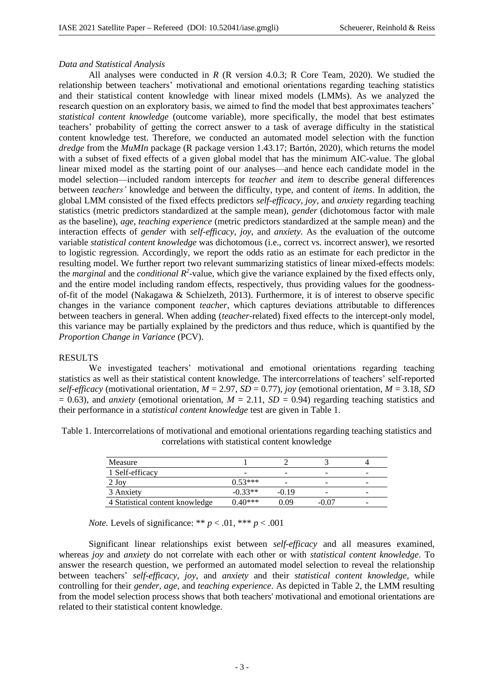#### *Data and Statistical Analysis*

All analyses were conducted in *R* (R version 4.0.3; R Core Team, 2020)*.* We studied the relationship between teachers' motivational and emotional orientations regarding teaching statistics and their statistical content knowledge with linear mixed models (LMMs). As we analyzed the research question on an exploratory basis, we aimed to find the model that best approximates teachers' *statistical content knowledge* (outcome variable), more specifically, the model that best estimates teachers' probability of getting the correct answer to a task of average difficulty in the statistical content knowledge test. Therefore, we conducted an automated model selection with the function *dredge* from the *MuMIn* package (R package version 1.43.17; Bartón, 2020), which returns the model with a subset of fixed effects of a given global model that has the minimum AIC-value. The global linear mixed model as the starting point of our analyses—and hence each candidate model in the model selection—included random intercepts for *teacher* and *item* to describe general differences between *teachers'* knowledge and between the difficulty, type, and content of *items*. In addition, the global LMM consisted of the fixed effects predictors *self-efficacy*, *joy*, and *anxiety* regarding teaching statistics (metric predictors standardized at the sample mean), *gender* (dichotomous factor with male as the baseline), *age*, *teaching experience* (metric predictors standardized at the sample mean) and the interaction effects of *gender* with *self-efficacy*, *joy*, and *anxiety*. As the evaluation of the outcome variable *statistical content knowledge* was dichotomous (i.e., correct vs. incorrect answer), we resorted to logistic regression. Accordingly, we report the odds ratio as an estimate for each predictor in the resulting model. We further report two relevant summarizing statistics of linear mixed-effects models: the *marginal* and the *conditional*  $R^2$ -value, which give the variance explained by the fixed effects only, and the entire model including random effects, respectively, thus providing values for the goodnessof-fit of the model (Nakagawa & Schielzeth, 2013). Furthermore, it is of interest to observe specific changes in the variance component *teacher*, which captures deviations attributable to differences between teachers in general. When adding (*teacher*-related) fixed effects to the intercept-only model, this variance may be partially explained by the predictors and thus reduce, which is quantified by the *Proportion Change in Variance* (PCV).

## RESULTS

We investigated teachers' motivational and emotional orientations regarding teaching statistics as well as their statistical content knowledge. The intercorrelations of teachers' self-reported *self-efficacy* (motivational orientation,  $M = 2.97$ ,  $SD = 0.77$ ), *joy* (emotional orientation,  $M = 3.18$ , *SD*  $= 0.63$ ), and *anxiety* (emotional orientation,  $M = 2.11$ ,  $SD = 0.94$ ) regarding teaching statistics and their performance in a *statistical content knowledge* test are given in Table 1.

| Measure                         |           |         |         |   |
|---------------------------------|-----------|---------|---------|---|
| 1 Self-efficacy                 | -         | -       | -       | - |
| 2 Joy                           | $0.53***$ |         | -       | - |
| 3 Anxiety                       | $-0.33**$ | $-0.19$ | -       | - |
| 4 Statistical content knowledge | $0.40***$ | 1.09    | $-0.07$ | - |

Table 1. Intercorrelations of motivational and emotional orientations regarding teaching statistics and correlations with statistical content knowledge

*Note.* Levels of significance: \*\*  $p < .01$ , \*\*\*  $p < .001$ 

Significant linear relationships exist between *self-efficacy* and all measures examined, whereas *joy* and *anxiety* do not correlate with each other or with *statistical content knowledge*. To answer the research question, we performed an automated model selection to reveal the relationship between teachers' *self-efficacy*, *joy*, and *anxiety* and their *statistical content knowledge*, while controlling for their *gender*, *age*, and *teaching experience*. As depicted in Table 2, the LMM resulting from the model selection process shows that both teachers' motivational and emotional orientations are related to their statistical content knowledge.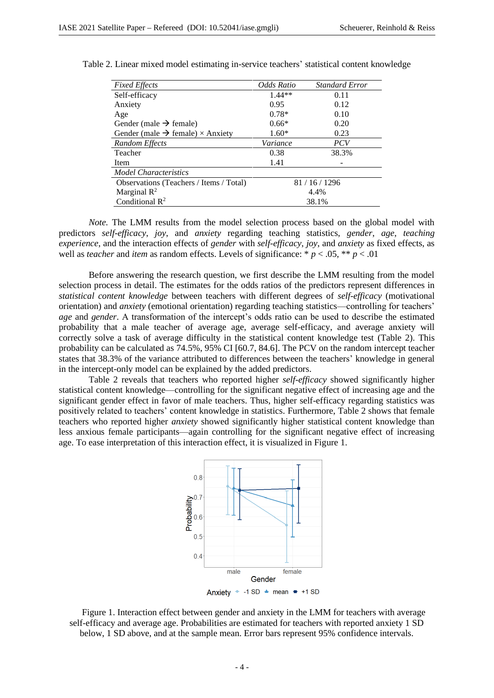| <b>Fixed Effects</b>                                | Odds Ratio | <b>Standard Error</b> |  |
|-----------------------------------------------------|------------|-----------------------|--|
| Self-efficacy                                       | $1.44**$   | 0.11                  |  |
| Anxiety                                             | 0.95       | 0.12                  |  |
| Age                                                 | $0.78*$    | 0.10                  |  |
| Gender (male $\rightarrow$ female)                  | $0.66*$    | 0.20                  |  |
| Gender (male $\rightarrow$ female) $\times$ Anxiety | $1.60*$    | 0.23                  |  |
| Random Effects                                      | Variance   | <i>PCV</i>            |  |
| Teacher                                             | 0.38       | 38.3%                 |  |
| Item                                                | 1.41       |                       |  |
| Model Characteristics                               |            |                       |  |
| Observations (Teachers / Items / Total)             | 81/16/1296 |                       |  |
| Marginal $\mathbb{R}^2$                             | 4.4%       |                       |  |
| Conditional $R^2$                                   | 38.1%      |                       |  |

| Table 2. Linear mixed model estimating in-service teachers' statistical content knowledge |  |  |  |
|-------------------------------------------------------------------------------------------|--|--|--|
|-------------------------------------------------------------------------------------------|--|--|--|

*Note.* The LMM results from the model selection process based on the global model with predictors *self-efficacy*, *joy*, and *anxiety* regarding teaching statistics, *gender*, *age*, *teaching experience*, and the interaction effects of *gender* with *self-efficacy*, *joy*, and *anxiety* as fixed effects, as well as *teacher* and *item* as random effects. Levels of significance: \*  $p < .05$ , \*\*  $p < .01$ 

Before answering the research question, we first describe the LMM resulting from the model selection process in detail. The estimates for the odds ratios of the predictors represent differences in *statistical content knowledge* between teachers with different degrees of *self-efficacy* (motivational orientation) and *anxiety* (emotional orientation) regarding teaching statistics—controlling for teachers' *age* and *gender*. A transformation of the intercept's odds ratio can be used to describe the estimated probability that a male teacher of average age, average self-efficacy, and average anxiety will correctly solve a task of average difficulty in the statistical content knowledge test (Table 2). This probability can be calculated as 74.5%, 95% CI [60.7, 84.6]. The PCV on the random intercept teacher states that 38.3% of the variance attributed to differences between the teachers' knowledge in general in the intercept-only model can be explained by the added predictors.

Table 2 reveals that teachers who reported higher *self-efficacy* showed significantly higher statistical content knowledge—controlling for the significant negative effect of increasing age and the significant gender effect in favor of male teachers. Thus, higher self-efficacy regarding statistics was positively related to teachers' content knowledge in statistics. Furthermore, Table 2 shows that female teachers who reported higher *anxiety* showed significantly higher statistical content knowledge than less anxious female participants—again controlling for the significant negative effect of increasing age. To ease interpretation of this interaction effect, it is visualized in Figure 1.



Figure 1. Interaction effect between gender and anxiety in the LMM for teachers with average self-efficacy and average age. Probabilities are estimated for teachers with reported anxiety 1 SD below, 1 SD above, and at the sample mean. Error bars represent 95% confidence intervals.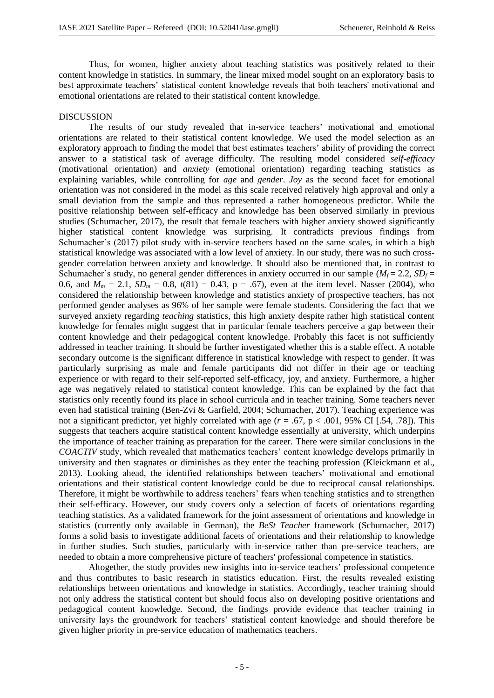Thus, for women, higher anxiety about teaching statistics was positively related to their content knowledge in statistics. In summary, the linear mixed model sought on an exploratory basis to best approximate teachers' statistical content knowledge reveals that both teachers' motivational and emotional orientations are related to their statistical content knowledge.

### **DISCUSSION**

The results of our study revealed that in-service teachers' motivational and emotional orientations are related to their statistical content knowledge. We used the model selection as an exploratory approach to finding the model that best estimates teachers' ability of providing the correct answer to a statistical task of average difficulty. The resulting model considered *self-efficacy* (motivational orientation) and *anxiety* (emotional orientation) regarding teaching statistics as explaining variables, while controlling for *age* and *gender*. *Joy* as the second facet for emotional orientation was not considered in the model as this scale received relatively high approval and only a small deviation from the sample and thus represented a rather homogeneous predictor. While the positive relationship between self-efficacy and knowledge has been observed similarly in previous studies (Schumacher, 2017), the result that female teachers with higher anxiety showed significantly higher statistical content knowledge was surprising. It contradicts previous findings from Schumacher's (2017) pilot study with in-service teachers based on the same scales, in which a high statistical knowledge was associated with a low level of anxiety. In our study, there was no such crossgender correlation between anxiety and knowledge. It should also be mentioned that, in contrast to Schumacher's study, no general gender differences in anxiety occurred in our sample  $(M_f = 2.2, SD_f =$ 0.6, and  $M_m = 2.1$ ,  $SD_m = 0.8$ ,  $t(81) = 0.43$ ,  $p = .67$ ), even at the item level. Nasser (2004), who considered the relationship between knowledge and statistics anxiety of prospective teachers, has not performed gender analyses as 96% of her sample were female students. Considering the fact that we surveyed anxiety regarding *teaching* statistics, this high anxiety despite rather high statistical content knowledge for females might suggest that in particular female teachers perceive a gap between their content knowledge and their pedagogical content knowledge. Probably this facet is not sufficiently addressed in teacher training. It should be further investigated whether this is a stable effect. A notable secondary outcome is the significant difference in statistical knowledge with respect to gender. It was particularly surprising as male and female participants did not differ in their age or teaching experience or with regard to their self-reported self-efficacy, joy, and anxiety. Furthermore, a higher age was negatively related to statistical content knowledge. This can be explained by the fact that statistics only recently found its place in school curricula and in teacher training. Some teachers never even had statistical training (Ben-Zvi & Garfield, 2004; Schumacher, 2017). Teaching experience was not a significant predictor, yet highly correlated with age  $(r = .67, p < .001, 95\%$  CI [.54, .78]). This suggests that teachers acquire statistical content knowledge essentially at university, which underpins the importance of teacher training as preparation for the career. There were similar conclusions in the *COACTIV* study, which revealed that mathematics teachers' content knowledge develops primarily in university and then stagnates or diminishes as they enter the teaching profession (Kleickmann et al., 2013). Looking ahead, the identified relationships between teachers' motivational and emotional orientations and their statistical content knowledge could be due to reciprocal causal relationships. Therefore, it might be worthwhile to address teachers' fears when teaching statistics and to strengthen their self-efficacy. However, our study covers only a selection of facets of orientations regarding teaching statistics. As a validated framework for the joint assessment of orientations and knowledge in statistics (currently only available in German), the *BeSt Teacher* framework (Schumacher, 2017) forms a solid basis to investigate additional facets of orientations and their relationship to knowledge in further studies. Such studies, particularly with in-service rather than pre-service teachers, are needed to obtain a more comprehensive picture of teachers' professional competence in statistics.

Altogether, the study provides new insights into in-service teachers' professional competence and thus contributes to basic research in statistics education. First, the results revealed existing relationships between orientations and knowledge in statistics. Accordingly, teacher training should not only address the statistical content but should focus also on developing positive orientations and pedagogical content knowledge. Second, the findings provide evidence that teacher training in university lays the groundwork for teachers' statistical content knowledge and should therefore be given higher priority in pre-service education of mathematics teachers.